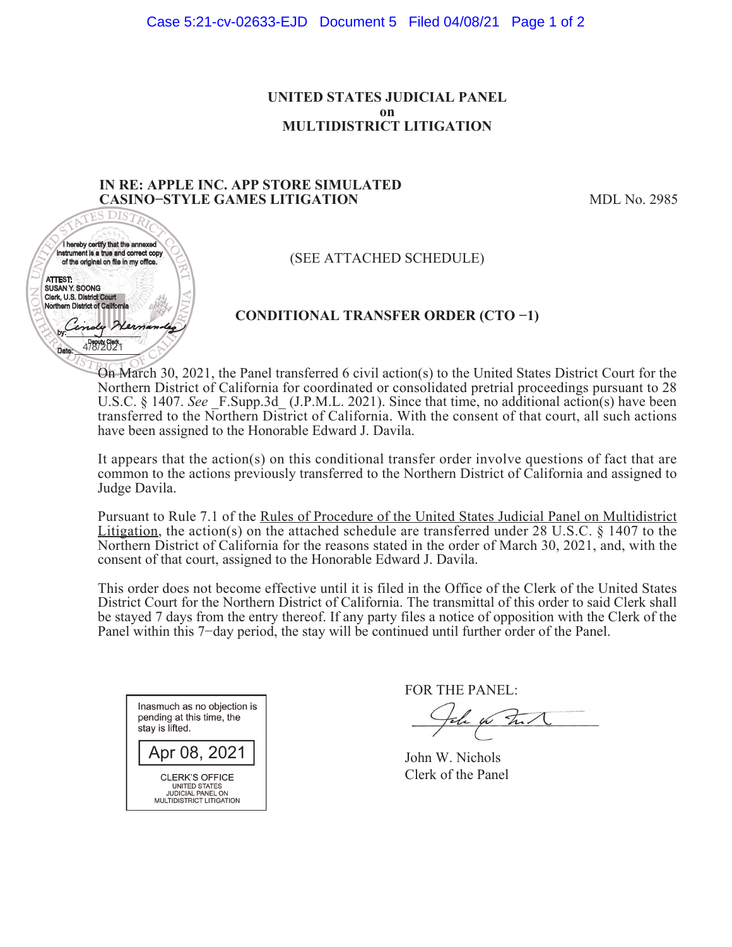#### **UNITED STATES JUDICIAL PANEL on MULTIDISTRICT LITIGATION**

### **IN RE: APPLE INC. APP STORE SIMULATED IN RE: APPLE INC** CASINO-STYLE GAMES LITIGATION
MDL No. 2985



(SEE ATTACHED SCHEDULE)

# **CONDITIONAL TRANSFER ORDER (CTO í1)**

On March 30, 2021, the Panel transferred 6 civil action(s) to the United States District Court for the On 2021, Northern District of California for coordinated or consolidated pretrial proceedings pursuant to 28 U.S.C. § 1407. See F.Supp.3d (J.P.M.L. 2021). Since that time, no additional action(s) have been transferred to the Northern District of California. With the consent of that court, all such actions have been assigned to the Honorable Edward J. Davila.

It appears that the action(s) on this conditional transfer order involve questions of fact that are common to the actions previously transferred to the Northern District of California and assigned to Judge Davila.

Pursuant to Rule 7.1 of the Rules of Procedure of the United States Judicial Panel on Multidistrict Litigation, the action(s) on the attached schedule are transferred under  $\overline{28 \text{ U.S.C. } }$  § 1407 to the Northern District of California for the reasons stated in the order of March 30, 2021, and, with the consent of that court, assigned to the Honorable Edward J. Davila.

This order does not become effective until it is filed in the Office of the Clerk of the United States District Court for the Northern District of California. The transmittal of this order to said Clerk shall be stayed 7 days from the entry thereof. If any party files a notice of opposition with the Clerk of the Panel within this 7-day period, the stay will be continued until further order of the Panel.

| Inasmuch as no objection is<br>pending at this time, the<br>stay is lifted.                           |
|-------------------------------------------------------------------------------------------------------|
| Apr 08, 2021                                                                                          |
| CLERK'S OFFICE<br><b>UNITED STATES</b><br><b>JUDICIAL PANEL ON</b><br><b>MULTIDISTRICT LITIGATION</b> |

FOR THE PANEL:

the for that

John W. Nichols Clerk of the Panel